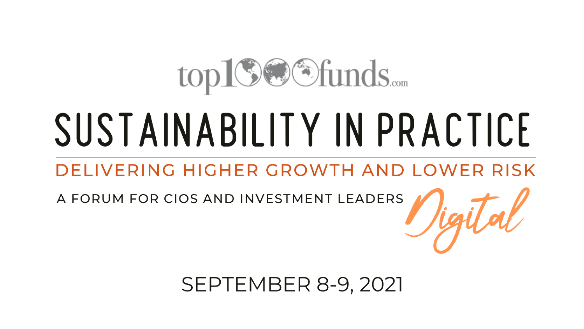## top19@Sfunds.....

# SUSTAINABILITY IN PRACTICE

#### DELIVERING HIGHER GROWTH AND LOWER RISK

A FORUM FOR CIOS AND INVESTMENT LEADERS

**SEPTEMBER 8-9, 2021**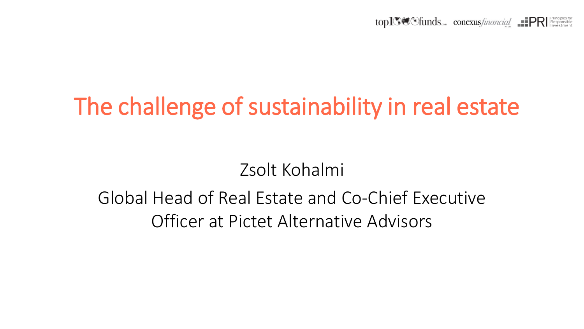$top1\%$  funds conexus *financial*  $IPR$ 

### The challenge of sustainability in real estate

Zsolt Kohalmi

#### Global Head of Real Estate and Co-Chief Executive Officer at Pictet Alternative Advisors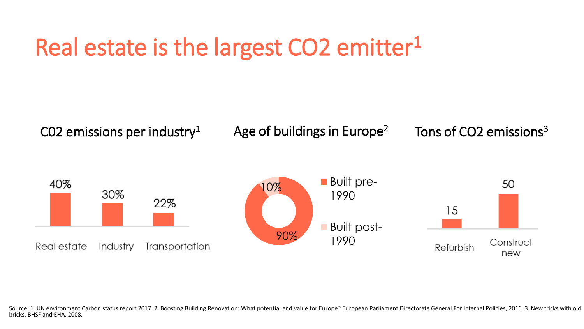### Real estate is the largest CO2 emitter<sup>1</sup>



Source: 1. UN environment Carbon status report 2017. 2. Boosting Building Renovation: What potential and value for Europe? European Parliament Directorate General For Internal Policies, 2016. 3. New tricks with old bricks, BHSF and EHA, 2008.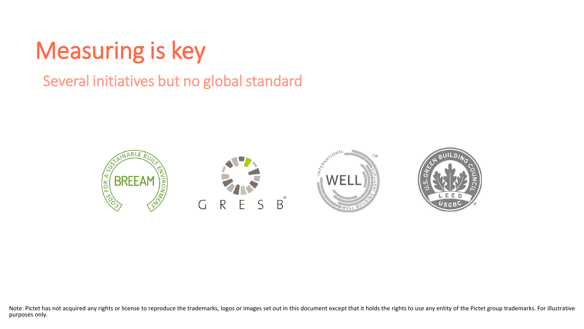### Measuring is key

#### Several initiatives but no global standard



Note: Pictet has not acquired any rights or license to reproduce the trademarks, logos or images set out in this document except that it holds the rights to use any entity of the Pictet group trademarks. For illustrative purposes only.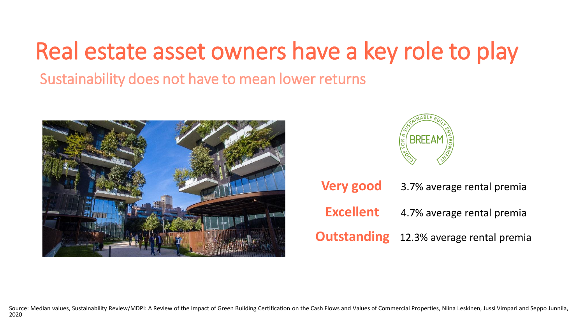### Real estate asset owners have a key role to play

Sustainability does not have to mean lower returns





**Very good** 3.7% average rental premia **Excellent** 4.7% average rental premia **Outstanding** 12.3% average rental premia

Source: Median values, Sustainability Review/MDPI: A Review of the Impact of Green Building Certification on the Cash Flows and Values of Commercial Properties, Niina Leskinen, Jussi Vimpari and Seppo Junnila, 2020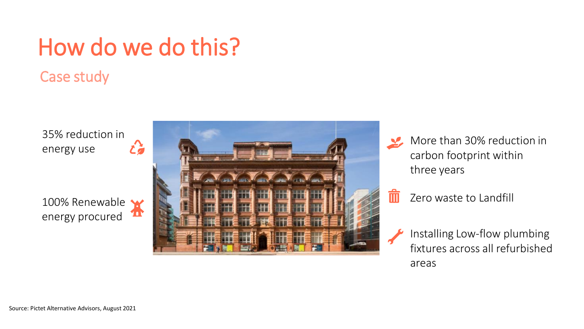### How do we do this?

#### Case study

35% reduction in energy use

100% Renewable energy procured





Zero waste to Landfill

Installing Low-flow plumbing fixtures across all refurbished areas